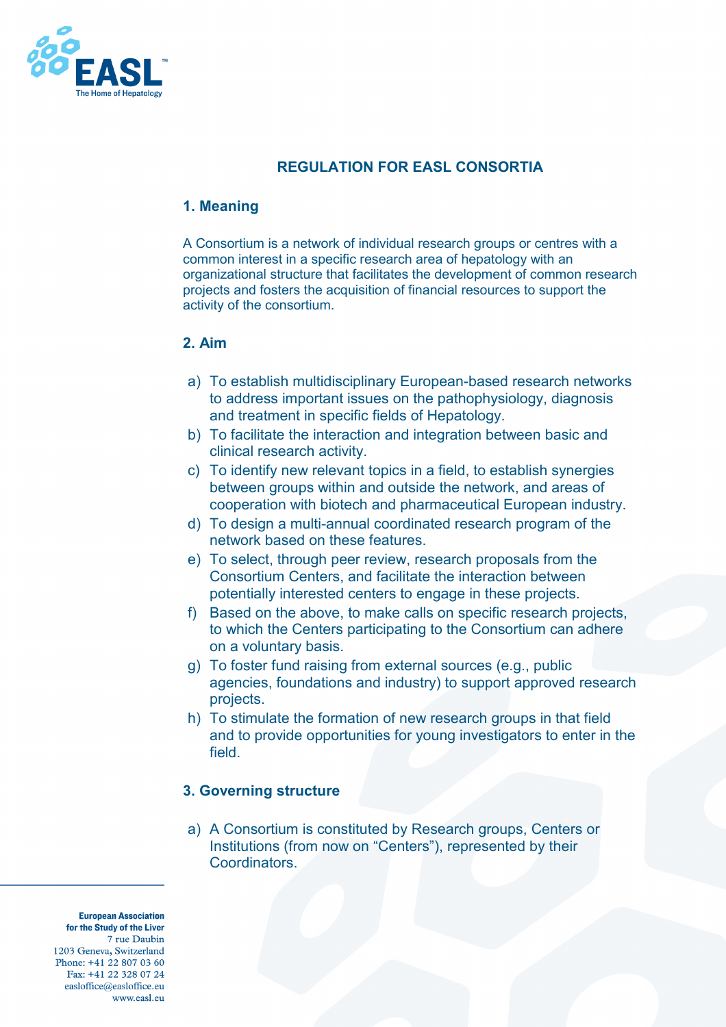

# **REGULATION FOR EASL CONSORTIA**

### **1. Meaning**

A Consortium is a network of individual research groups or centres with a common interest in a specific research area of hepatology with an organizational structure that facilitates the development of common research projects and fosters the acquisition of financial resources to support the activity of the consortium.

### **2. Aim**

- a) To establish multidisciplinary European-based research networks to address important issues on the pathophysiology, diagnosis and treatment in specific fields of Hepatology.
- b) To facilitate the interaction and integration between basic and clinical research activity.
- c) To identify new relevant topics in a field, to establish synergies between groups within and outside the network, and areas of cooperation with biotech and pharmaceutical European industry.
- d) To design a multi-annual coordinated research program of the network based on these features.
- e) To select, through peer review, research proposals from the Consortium Centers, and facilitate the interaction between potentially interested centers to engage in these projects.
- f) Based on the above, to make calls on specific research projects, to which the Centers participating to the Consortium can adhere on a voluntary basis.
- g) To foster fund raising from external sources (e.g., public agencies, foundations and industry) to support approved research projects.
- h) To stimulate the formation of new research groups in that field and to provide opportunities for young investigators to enter in the field.

### **3. Governing structure**

a) A Consortium is constituted by Research groups, Centers or Institutions (from now on "Centers"), represented by their Coordinators.

**European Association** for the Study of the Liver 7 rue Daubin 1203 Geneva, Switzerland Phone: +41 22 807 03 60 Fax: +41 22 328 07 24 easloffice@easloffice.eu www.easl.en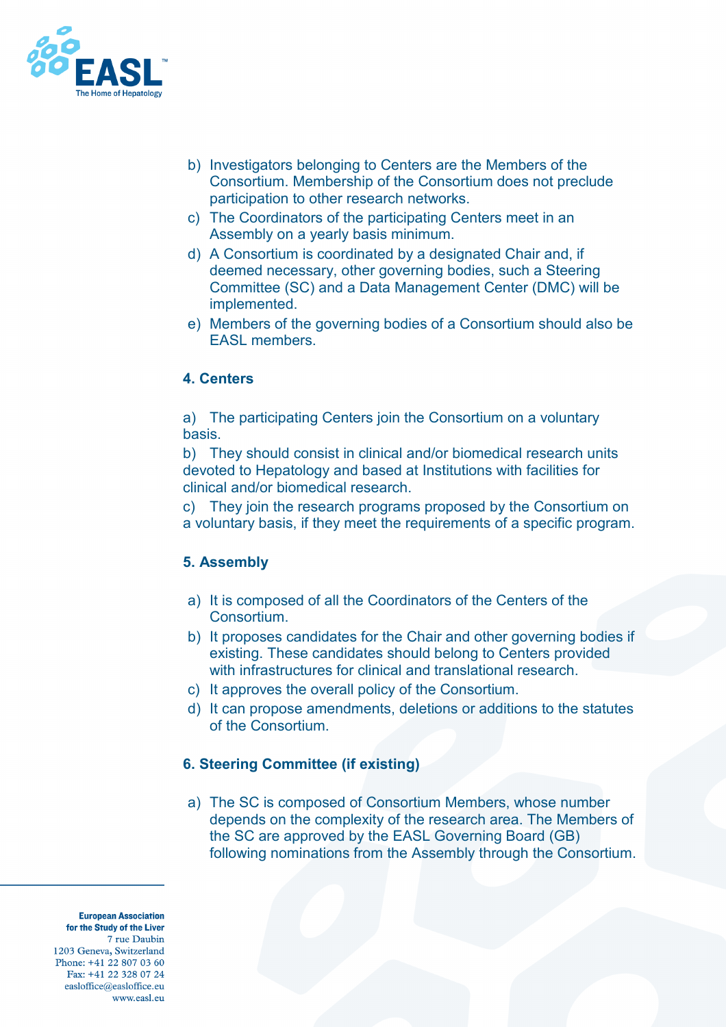

- b) Investigators belonging to Centers are the Members of the Consortium. Membership of the Consortium does not preclude participation to other research networks.
- c) The Coordinators of the participating Centers meet in an Assembly on a yearly basis minimum.
- d) A Consortium is coordinated by a designated Chair and, if deemed necessary, other governing bodies, such a Steering Committee (SC) and a Data Management Center (DMC) will be implemented.
- e) Members of the governing bodies of a Consortium should also be EASL members.

### **4. Centers**

a) The participating Centers join the Consortium on a voluntary basis.

b) They should consist in clinical and/or biomedical research units devoted to Hepatology and based at Institutions with facilities for clinical and/or biomedical research.

c) They join the research programs proposed by the Consortium on a voluntary basis, if they meet the requirements of a specific program.

### **5. Assembly**

- a) It is composed of all the Coordinators of the Centers of the Consortium.
- b) It proposes candidates for the Chair and other governing bodies if existing. These candidates should belong to Centers provided with infrastructures for clinical and translational research.
- c) It approves the overall policy of the Consortium.
- d) It can propose amendments, deletions or additions to the statutes of the Consortium.

### **6. Steering Committee (if existing)**

a) The SC is composed of Consortium Members, whose number depends on the complexity of the research area. The Members of the SC are approved by the EASL Governing Board (GB) following nominations from the Assembly through the Consortium.

**European Association** for the Study of the Liver 7 rue Daubin 1203 Geneva, Switzerland Phone: +41 22 807 03 60 Fax: +41 22 328 07 24 easloffice@easloffice.eu www.easl.eu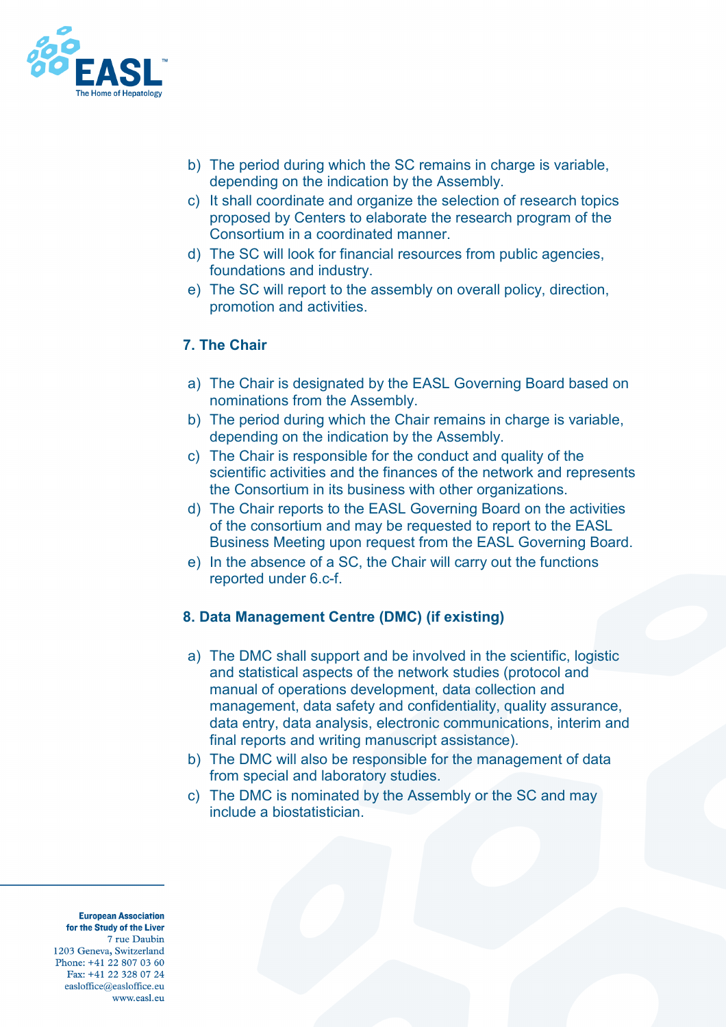

- b) The period during which the SC remains in charge is variable, depending on the indication by the Assembly.
- c) It shall coordinate and organize the selection of research topics proposed by Centers to elaborate the research program of the Consortium in a coordinated manner.
- d) The SC will look for financial resources from public agencies, foundations and industry.
- e) The SC will report to the assembly on overall policy, direction, promotion and activities.

# **7. The Chair**

- a) The Chair is designated by the EASL Governing Board based on nominations from the Assembly.
- b) The period during which the Chair remains in charge is variable, depending on the indication by the Assembly.
- c) The Chair is responsible for the conduct and quality of the scientific activities and the finances of the network and represents the Consortium in its business with other organizations.
- d) The Chair reports to the EASL Governing Board on the activities of the consortium and may be requested to report to the EASL Business Meeting upon request from the EASL Governing Board.
- e) In the absence of a SC, the Chair will carry out the functions reported under 6.c-f.

# **8. Data Management Centre (DMC) (if existing)**

- a) The DMC shall support and be involved in the scientific, logistic and statistical aspects of the network studies (protocol and manual of operations development, data collection and management, data safety and confidentiality, quality assurance, data entry, data analysis, electronic communications, interim and final reports and writing manuscript assistance).
- b) The DMC will also be responsible for the management of data from special and laboratory studies.
- c) The DMC is nominated by the Assembly or the SC and may include a biostatistician.

**European Association** for the Study of the Liver 7 rue Daubin 1203 Geneva, Switzerland Phone: +41 22 807 03 60 Fax: +41 22 328 07 24 easloffice@easloffice.eu www.easl.en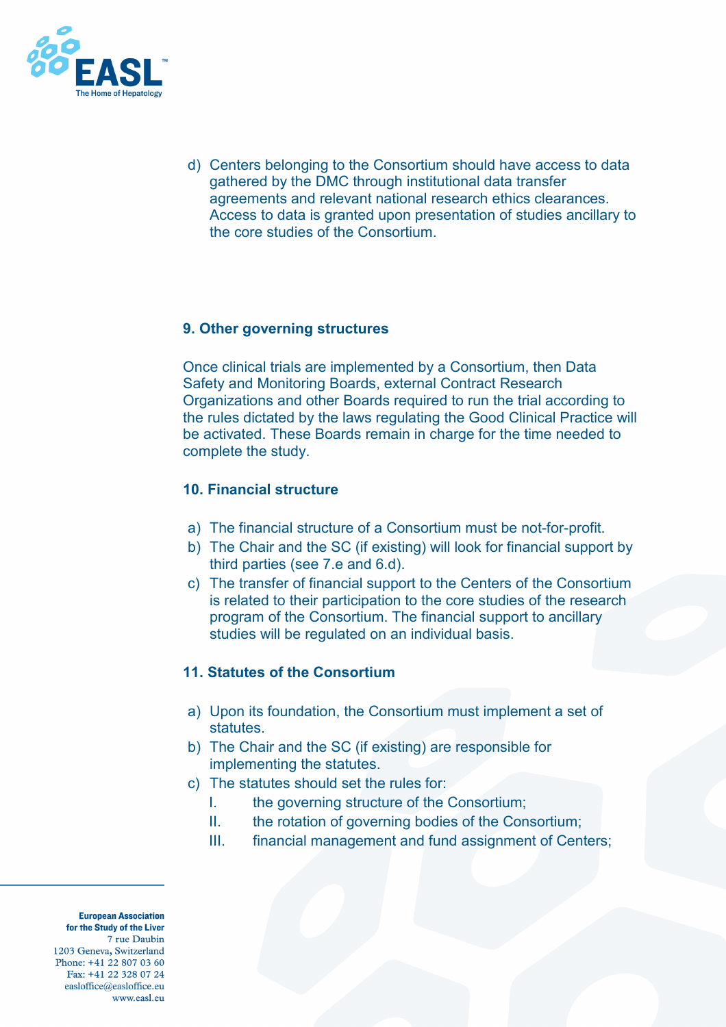

d) Centers belonging to the Consortium should have access to data gathered by the DMC through institutional data transfer agreements and relevant national research ethics clearances. Access to data is granted upon presentation of studies ancillary to the core studies of the Consortium.

# **9. Other governing structures**

Once clinical trials are implemented by a Consortium, then Data Safety and Monitoring Boards, external Contract Research Organizations and other Boards required to run the trial according to the rules dictated by the laws regulating the Good Clinical Practice will be activated. These Boards remain in charge for the time needed to complete the study.

### **10. Financial structure**

- a) The financial structure of a Consortium must be not-for-profit.
- b) The Chair and the SC (if existing) will look for financial support by third parties (see 7.e and 6.d).
- c) The transfer of financial support to the Centers of the Consortium is related to their participation to the core studies of the research program of the Consortium. The financial support to ancillary studies will be regulated on an individual basis.

### **11. Statutes of the Consortium**

- a) Upon its foundation, the Consortium must implement a set of statutes.
- b) The Chair and the SC (if existing) are responsible for implementing the statutes.
- c) The statutes should set the rules for:
	- I. the governing structure of the Consortium;
	- II. the rotation of governing bodies of the Consortium;
	- III. financial management and fund assignment of Centers;

**European Association** for the Study of the Liver 7 rue Daubin 1203 Geneva, Switzerland Phone: +41 22 807 03 60 Fax: +41 22 328 07 24 easloffice@easloffice.eu www.easl.eu